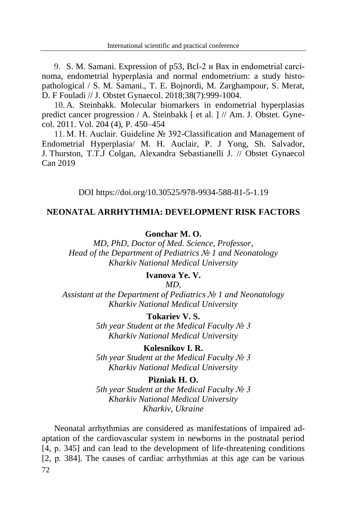9. S. M. Samani. Expression of p53, Bcl-2 и Bax in endometrial carcinoma, endometrial hyperplasia and normal endometrium: a study histopathological / S. M. Samani., T. E. Bojnordi, M. Zarghampour, S. Merat, D. F Fouladi // J. Obstet Gynaecol. 2018;38(7):999-1004.

10. A. Steinbakk. Molecular biomarkers in endometrial hyperplasias predict cancer progression / A. Steinbakk [ et al. ] // Am. J. Obstet. Gynecol. 2011. Vol. 204 (4), P. 450–454

11. M. H. Auclair. Guideline № 392-Classification and Management of Endometrial Hyperplasia/ M. H. Auclair, P. J Yong, Sh. Salvador, J. Thurston, T.T.J Colgan, Alexandra Sebastianelli J. // Obstet Gynaecol Can 2019

DOI https://doi.org/10.30525/978-9934-588-81-5-1.19

# **NEONATAL ARRHYTHMIA: DEVELOPMENT RISK FACTORS**

### **Gonchar M. O.**

*MD, PhD, Doctor of Med. Science, Professor, Head of the Department of Pediatrics № 1 and Neonatology Kharkiv National Medical University*

## **Ivanova Ye. V.**

*MD,*

*Assistant at the Department of Pediatrics № 1 and Neonatology Kharkiv National Medical University*

# **Tokariev V. S.**

*5th year Student at the Medical Faculty № 3 Kharkiv National Medical University*

## **Kolesnikov I. R.**

*5th year Student at the Medical Faculty № 3 Kharkiv National Medical University*

#### **Pizniak H. O.**

*5th year Student at the Medical Faculty № 3 Kharkiv National Medical University Kharkiv, Ukraine*

72 Neonatal arrhythmias are considered as manifestations of impaired adaptation of the cardiovascular system in newborns in the postnatal period [4, p. 345] and can lead to the development of life-threatening conditions [2, р. 384]. The causes of cardiac arrhythmias at this age can be various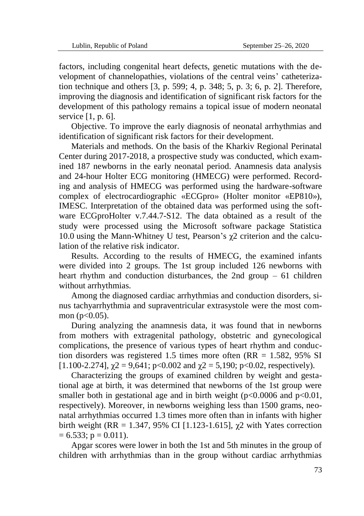factors, including congenital heart defects, genetic mutations with the development of channelopathies, violations of the central veins' catheterization technique and others [3, р. 599; 4, р. 348; 5, р. 3; 6, р. 2]. Therefore, improving the diagnosis and identification of significant risk factors for the development of this pathology remains a topical issue of modern neonatal service [1, p. 6].

Objective. To improve the early diagnosis of neonatal arrhythmias and identification of significant risk factors for their development.

Materials and methods. On the basis of the Kharkiv Regional Perinatal Center during 2017-2018, a prospective study was conducted, which examined 187 newborns in the early neonatal period. Anamnesis data analysis and 24-hour Holter ECG monitoring (HMECG) were performed. Recording and analysis of HMECG was performed using the hardware-software complex of electrocardiographic «ECGpro» (Holter monitor «EP810»), IMESC. Interpretation of the obtained data was performed using the software ECGproHolter v.7.44.7-S12. The data obtained as a result of the study were processed using the Microsoft software package Statistica 10.0 using the Mann-Whitney U test, Pearson's  $\chi$ 2 criterion and the calculation of the relative risk indicator.

Results. According to the results of HMEСG, the examined infants were divided into 2 groups. The 1st group included 126 newborns with heart rhythm and conduction disturbances, the 2nd group – 61 children without arrhythmias.

Among the diagnosed cardiac arrhythmias and conduction disorders, sinus tachyarrhythmia and supraventricular extrasystole were the most common  $(p<0.05)$ .

During analyzing the anamnesis data, it was found that in newborns from mothers with extragenital pathology, obstetric and gynecological complications, the presence of various types of heart rhythm and conduction disorders was registered 1.5 times more often  $(RR = 1.582, 95\%$  SI [1.100-2.274],  $\gamma$ 2 = 9,641; p<0.002 and  $\gamma$ 2 = 5,190; p<0.02, respectively).

Characterizing the groups of examined children by weight and gestational age at birth, it was determined that newborns of the 1st group were smaller both in gestational age and in birth weight  $(p<0.0006$  and  $p<0.01$ , respectively). Moreover, in newborns weighing less than 1500 grams, neonatal arrhythmias occurred 1.3 times more often than in infants with higher birth weight (RR = 1.347, 95% CI [1.123-1.615],  $\chi$ 2 with Yates correction  $= 6.533$ ; p  $= 0.011$ ).

Apgar scores were lower in both the 1st and 5th minutes in the group of children with arrhythmias than in the group without cardiac arrhythmias